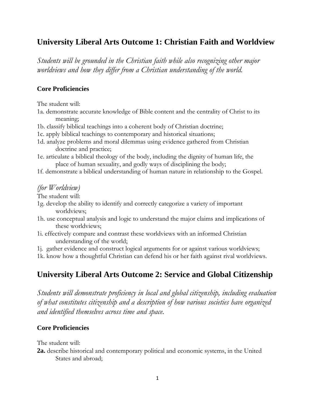## **University Liberal Arts Outcome 1: Christian Faith and Worldview**

*Students will be grounded in the Christian faith while also recognizing other major worldviews and how they differ from a Christian understanding of the world.*

#### **Core Proficiencies**

The student will:

- 1a. demonstrate accurate knowledge of Bible content and the centrality of Christ to its meaning;
- 1b. classify biblical teachings into a coherent body of Christian doctrine;
- 1c. apply biblical teachings to contemporary and historical situations;
- 1d. analyze problems and moral dilemmas using evidence gathered from Christian doctrine and practice;
- 1e. articulate a biblical theology of the body, including the dignity of human life, the place of human sexuality, and godly ways of disciplining the body;
- 1f. demonstrate a biblical understanding of human nature in relationship to the Gospel.

### *(for Worldview)*

The student will:

- 1g. develop the ability to identify and correctly categorize a variety of important worldviews;
- 1h. use conceptual analysis and logic to understand the major claims and implications of these worldviews;
- 1i. effectively compare and contrast these worldviews with an informed Christian understanding of the world;

1j. gather evidence and construct logical arguments for or against various worldviews;

1k. know how a thoughtful Christian can defend his or her faith against rival worldviews.

### **University Liberal Arts Outcome 2: Service and Global Citizenship**

*Students will demonstrate proficiency in local and global citizenship, including evaluation of what constitutes citizenship and a description of how various societies have organized and identified themselves across time and space.*

#### **Core Proficiencies**

The student will:

**2a.** describe historical and contemporary political and economic systems, in the United States and abroad;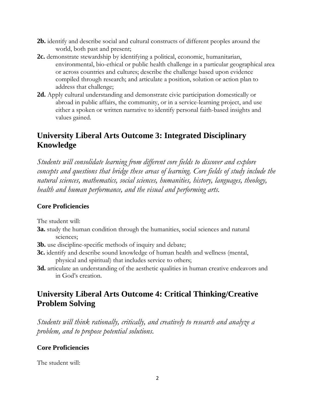- **2b.** identify and describe social and cultural constructs of different peoples around the world, both past and present;
- **2c.** demonstrate stewardship by identifying a political, economic, humanitarian, environmental, bio-ethical or public health challenge in a particular geographical area or across countries and cultures; describe the challenge based upon evidence compiled through research; and articulate a position, solution or action plan to address that challenge;
- **2d.** Apply cultural understanding and demonstrate civic participation domestically or abroad in public affairs, the community, or in a service-learning project, and use either a spoken or written narrative to identify personal faith-based insights and values gained.

## **University Liberal Arts Outcome 3: Integrated Disciplinary Knowledge**

*Students will consolidate learning from different core fields to discover and explore concepts and questions that bridge these areas of learning. Core fields of study include the natural sciences, mathematics, social sciences, humanities, history, languages, theology, health and human performance, and the visual and performing arts.*

### **Core Proficiencies**

The student will:

- **3a.** study the human condition through the humanities, social sciences and natural sciences;
- **3b.** use discipline-specific methods of inquiry and debate;
- **3c.** identify and describe sound knowledge of human health and wellness (mental, physical and spiritual) that includes service to others;
- **3d.** articulate an understanding of the aesthetic qualities in human creative endeavors and in God's creation.

## **University Liberal Arts Outcome 4: Critical Thinking/Creative Problem Solving**

*Students will think rationally, critically, and creatively to research and analyze a problem, and to propose potential solutions.*

### **Core Proficiencies**

The student will: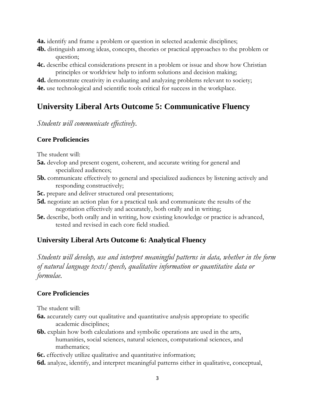**4a.** identify and frame a problem or question in selected academic disciplines;

- **4b.** distinguish among ideas, concepts, theories or practical approaches to the problem or question;
- **4c.** describe ethical considerations present in a problem or issue and show how Christian principles or worldview help to inform solutions and decision making;

**4d.** demonstrate creativity in evaluating and analyzing problems relevant to society; **4e.** use technological and scientific tools critical for success in the workplace.

# **University Liberal Arts Outcome 5: Communicative Fluency**

### *Students will communicate effectively*.

#### **Core Proficiencies**

The student will:

- **5a.** develop and present cogent, coherent, and accurate writing for general and specialized audiences;
- **5b.** communicate effectively to general and specialized audiences by listening actively and responding constructively;
- **5c.** prepare and deliver structured oral presentations;
- **5d.** negotiate an action plan for a practical task and communicate the results of the negotiation effectively and accurately, both orally and in writing;
- **5e.** describe, both orally and in writing, how existing knowledge or practice is advanced, tested and revised in each core field studied.

### **University Liberal Arts Outcome 6: Analytical Fluency**

*Students will develop, use and interpret meaningful patterns in data, whether in the form of natural language texts/speech, qualitative information or quantitative data or formulae.*

### **Core Proficiencies**

The student will:

- **6a.** accurately carry out qualitative and quantitative analysis appropriate to specific academic disciplines;
- **6b.** explain how both calculations and symbolic operations are used in the arts, humanities, social sciences, natural sciences, computational sciences, and mathematics;

**6c.** effectively utilize qualitative and quantitative information;

**6d.** analyze, identify, and interpret meaningful patterns either in qualitative, conceptual,